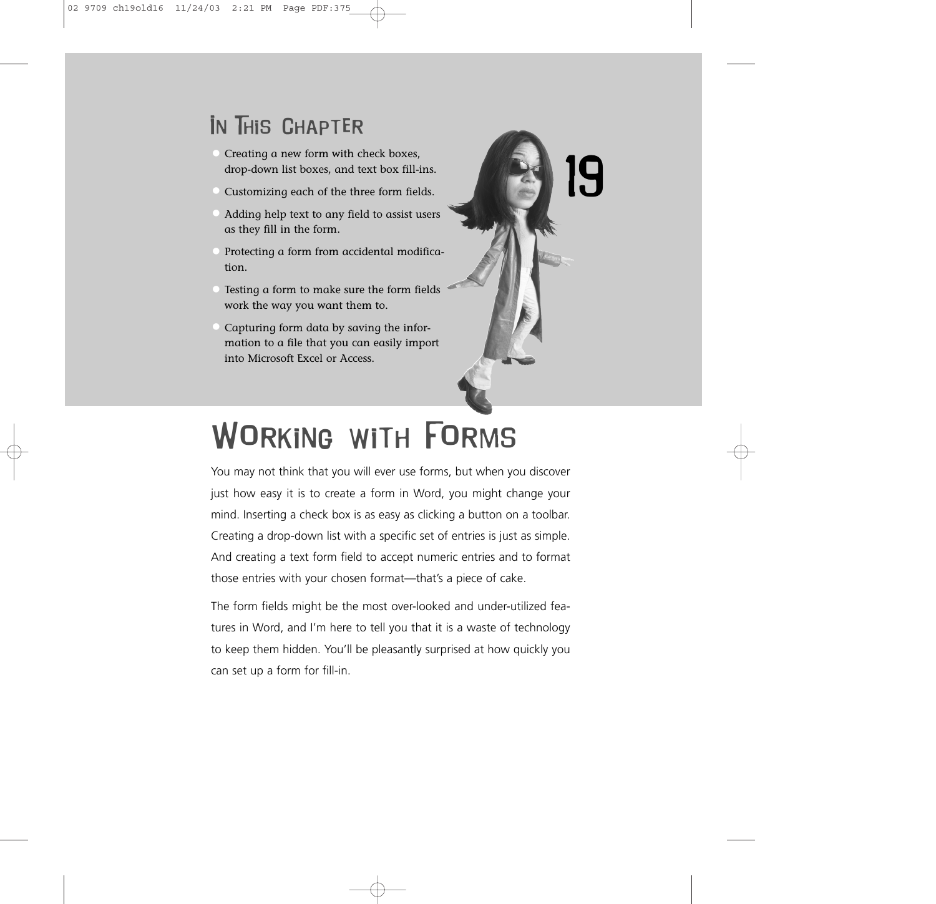## In This Chapter

- Creating a new form with check boxes, drop-down list boxes, and text box fill-ins.
- Customizing each of the three form fields.
- Adding help text to any field to assist users as they fill in the form.
- Protecting a form from accidental modification.
- Testing a form to make sure the form fields work the way you want them to.
- Capturing form data by saving the information to a file that you can easily import into Microsoft Excel or Access.



# Working with Forms

You may not think that you will ever use forms, but when you discover just how easy it is to create a form in Word, you might change your mind. Inserting a check box is as easy as clicking a button on a toolbar. Creating a drop-down list with a specific set of entries is just as simple. And creating a text form field to accept numeric entries and to format those entries with your chosen format—that's a piece of cake.

The form fields might be the most over-looked and under-utilized features in Word, and I'm here to tell you that it is a waste of technology to keep them hidden. You'll be pleasantly surprised at how quickly you can set up a form for fill-in.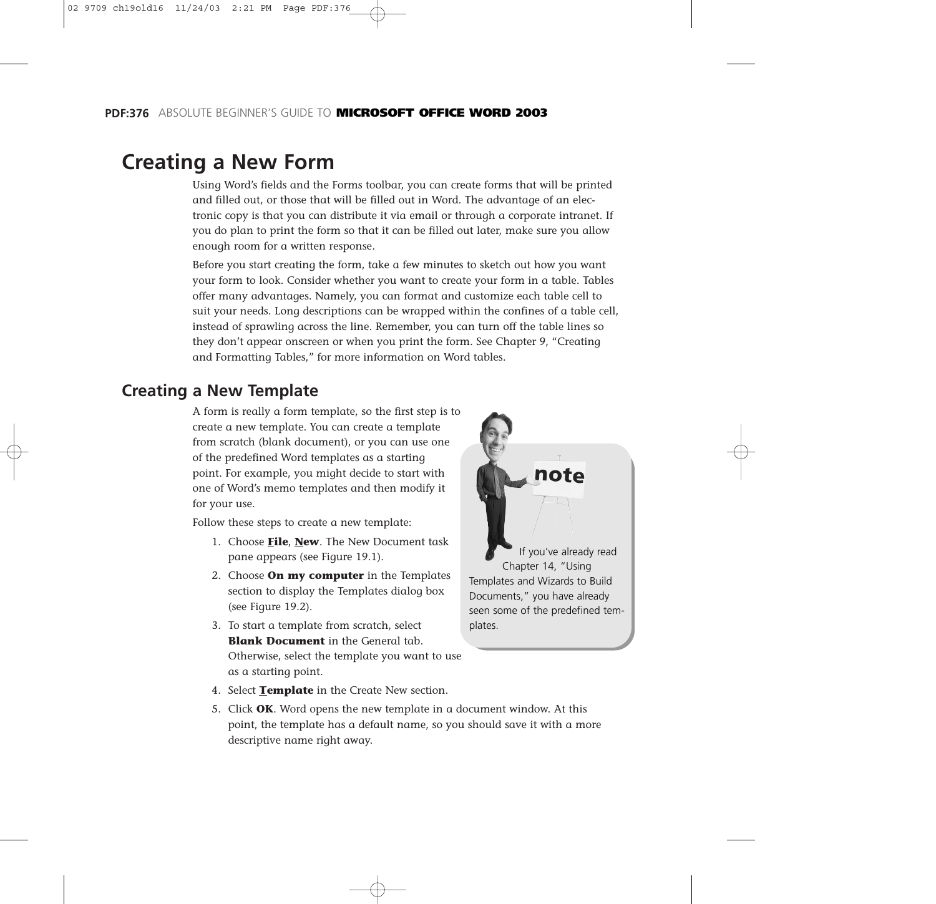## **Creating a New Form**

Using Word's fields and the Forms toolbar, you can create forms that will be printed and filled out, or those that will be filled out in Word. The advantage of an electronic copy is that you can distribute it via email or through a corporate intranet. If you do plan to print the form so that it can be filled out later, make sure you allow enough room for a written response.

Before you start creating the form, take a few minutes to sketch out how you want your form to look. Consider whether you want to create your form in a table. Tables offer many advantages. Namely, you can format and customize each table cell to suit your needs. Long descriptions can be wrapped within the confines of a table cell, instead of sprawling across the line. Remember, you can turn off the table lines so they don't appear onscreen or when you print the form. See Chapter 9, "Creating and Formatting Tables," for more information on Word tables.

### **Creating a New Template**

A form is really a form template, so the first step is to create a new template. You can create a template from scratch (blank document), or you can use one of the predefined Word templates as a starting point. For example, you might decide to start with one of Word's memo templates and then modify it for your use.

Follow these steps to create a new template:

- 1. Choose **File**, **New**. The New Document task pane appears (see Figure 19.1).
- 2. Choose **On my computer** in the Templates section to display the Templates dialog box (see Figure 19.2).
- 3. To start a template from scratch, select **Blank Document** in the General tab. Otherwise, select the template you want to use as a starting point.
	-
- 4. Select **Template** in the Create New section.
- 5. Click **OK**. Word opens the new template in a document window. At this point, the template has a default name, so you should save it with a more descriptive name right away.



Documents," you have already seen some of the predefined templates.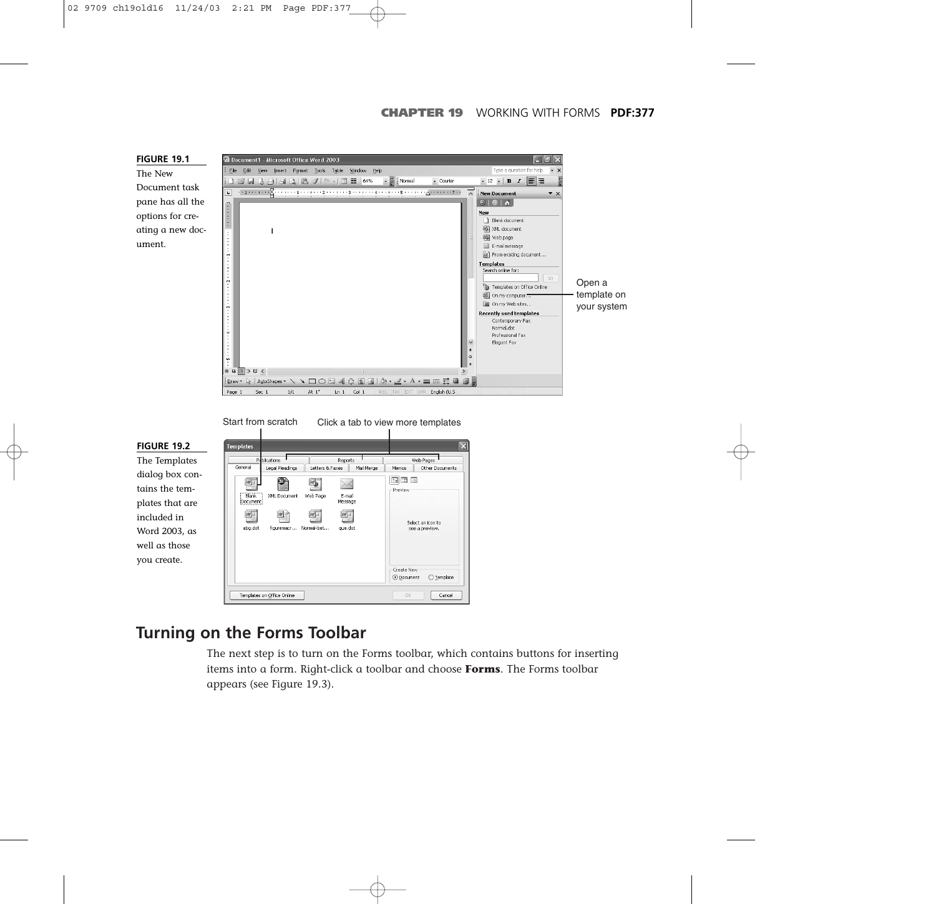



Start from scratch Click a tab to view more templates



### **Turning on the Forms Toolbar**

The next step is to turn on the Forms toolbar, which contains buttons for inserting items into a form. Right-click a toolbar and choose **Forms**. The Forms toolbar appears (see Figure 19.3).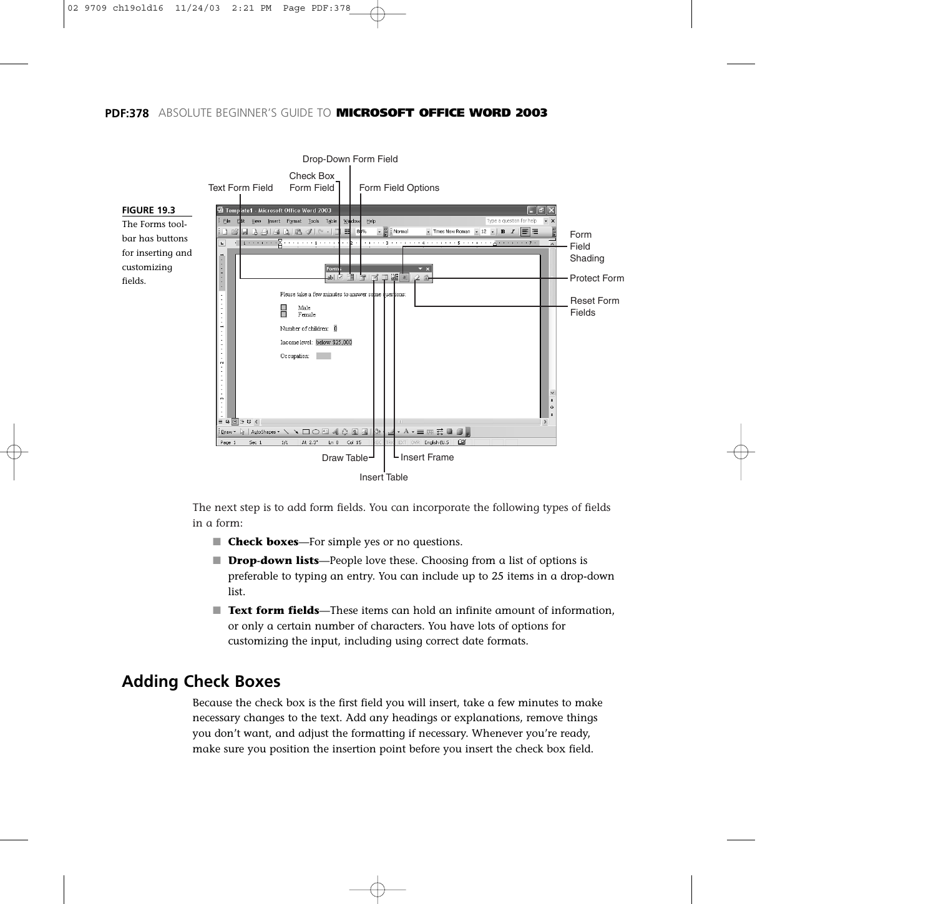#### **PDF:378** ABSOLUTE BEGINNER'S GUIDE TO **MICROSOFT OFFICE WORD 2003**



The next step is to add form fields. You can incorporate the following types of fields in a form:

- **Check boxes**—For simple yes or no questions.
- **Drop-down lists**—People love these. Choosing from a list of options is preferable to typing an entry. You can include up to 25 items in a drop-down list.
- **Text form fields**—These items can hold an infinite amount of information, or only a certain number of characters. You have lots of options for customizing the input, including using correct date formats.

#### **Adding Check Boxes**

Because the check box is the first field you will insert, take a few minutes to make necessary changes to the text. Add any headings or explanations, remove things you don't want, and adjust the formatting if necessary. Whenever you're ready, make sure you position the insertion point before you insert the check box field.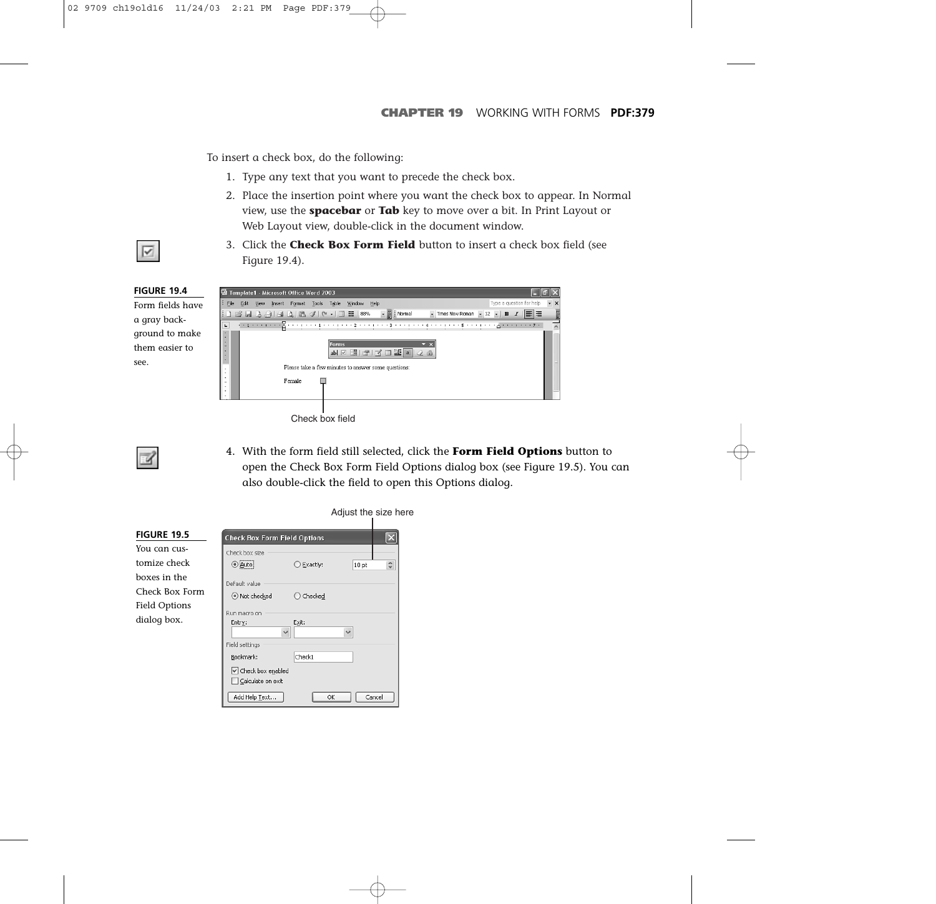To insert a check box, do the following:

- 1. Type any text that you want to precede the check box.
- 2. Place the insertion point where you want the check box to appear. In Normal view, use the **spacebar** or **Tab** key to move over a bit. In Print Layout or Web Layout view, double-click in the document window.
- $\overline{\vee}$
- 3. Click the **Check Box Form Field** button to insert a check box field (see Figure 19.4).

| <b>FIGURE 19.4</b> | Template1 - Microsoft Office Word 2003                                                                                                                                                                                                                                                                                                                                                                                                                  |  |
|--------------------|---------------------------------------------------------------------------------------------------------------------------------------------------------------------------------------------------------------------------------------------------------------------------------------------------------------------------------------------------------------------------------------------------------------------------------------------------------|--|
| Form fields have   | File<br>Type a question for help<br>Window Help<br>Edit View<br>Insert Format Tools<br>Table                                                                                                                                                                                                                                                                                                                                                            |  |
| a gray back-       | $\frac{1}{\sqrt{2}}$ : Normal<br>▼ Times New Roman ▼ 12 ▼   B $I$   $\equiv$   $\equiv$<br>$ 1\hspace{.04cm}1\hspace{.04cm}1\hspace{.04cm}1\hspace{.04cm}1\hspace{.04cm}1\hspace{.04cm}1\hspace{.04cm}1\hspace{.04cm}1\hspace{.04cm}1\hspace{.04cm}1\hspace{.04cm}1\hspace{.04cm}1\hspace{.04cm}1\hspace{.04cm}1\hspace{.04cm}1\hspace{.04cm}1\hspace{.04cm}1\hspace{.04cm}1\hspace{.04cm}1\hspace{.04cm}1\hspace{.04cm}1\hspace{.04cm$<br>$\mathbf{L}$ |  |
| ground to make     | $\overline{\phantom{a}}$                                                                                                                                                                                                                                                                                                                                                                                                                                |  |
| them easier to     | Forms,<br>abl 区 面 图 区 口 题 2 台<br>$\overline{a}$                                                                                                                                                                                                                                                                                                                                                                                                         |  |
| see.               | Please take a few minutes to answer some questions:<br>Female<br>$\sim$                                                                                                                                                                                                                                                                                                                                                                                 |  |
|                    |                                                                                                                                                                                                                                                                                                                                                                                                                                                         |  |

Check box field

4. With the form field still selected, click the **Form Field Options** button to open the Check Box Form Field Options dialog box (see Figure 19.5). You can also double-click the field to open this Options dialog.

|                    |                                               |          | Adjust the size here |                                                               |  |
|--------------------|-----------------------------------------------|----------|----------------------|---------------------------------------------------------------|--|
| <b>FIGURE 19.5</b> | <b>Check Box Form Field Options</b>           |          |                      |                                                               |  |
| You can cus-       | Check hox size                                |          |                      |                                                               |  |
| tomize check       | ⊕¦ <u>A</u> uto∣                              | Exactly: | 10 <sub>pt</sub>     | $\stackrel{\scriptscriptstyle\wedge}{\scriptscriptstyle\vee}$ |  |
| boxes in the       | Default value                                 |          |                      |                                                               |  |
| Check Box Form     | (•) Not checked                               | Checked  |                      |                                                               |  |
| Field Options      |                                               |          |                      |                                                               |  |
| dialog box.        | Run macro on<br>Entry:<br>$\checkmark$        | Exit:    | $\checkmark$         |                                                               |  |
|                    | Field settings                                |          |                      |                                                               |  |
|                    | Bookmark:                                     | Check1   |                      |                                                               |  |
|                    | $\vee$ Check box enabled<br>Calculate on exit |          |                      |                                                               |  |
|                    | Add Help Text                                 |          | OK                   | Cancel                                                        |  |

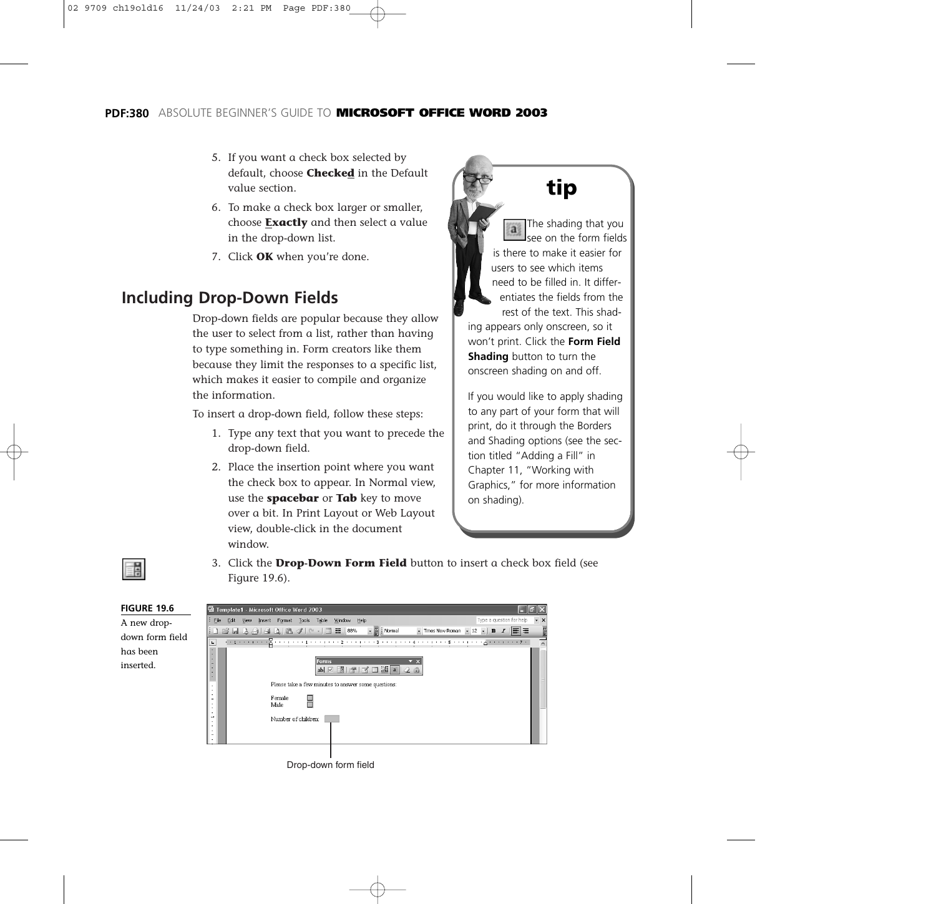- 5. If you want a check box selected by default, choose **Checked** in the Default value section.
- 6. To make a check box larger or smaller, choose **Exactly** and then select a value in the drop-down list.
- 7. Click **OK** when you're done.

### **Including Drop-Down Fields**

Drop-down fields are popular because they allow the user to select from a list, rather than having to type something in. Form creators like them because they limit the responses to a specific list, which makes it easier to compile and organize the information.

To insert a drop-down field, follow these steps:

- 1. Type any text that you want to precede the drop-down field.
- 2. Place the insertion point where you want the check box to appear. In Normal view, use the **spacebar** or **Tab** key to move over a bit. In Print Layout or Web Layout view, double-click in the document window.

## **tip**

The shading that you see on the form fields is there to make it easier for users to see which items need to be filled in. It differentiates the fields from the rest of the text. This shad-

ing appears only onscreen, so it won't print. Click the **Form Field Shading** button to turn the onscreen shading on and off.

If you would like to apply shading to any part of your form that will print, do it through the Borders and Shading options (see the section titled "Adding a Fill" in Chapter 11, "Working with Graphics," for more information on shading).



3. Click the **Drop-Down Form Field** button to insert a check box field (see Figure 19.6).

| <b>FIGURE 19.6</b> | Template1 - Microsoft Office Word 2003                                                                                                                                                                                                                                                                                                                                                                                                                                                                                                        |                  |
|--------------------|-----------------------------------------------------------------------------------------------------------------------------------------------------------------------------------------------------------------------------------------------------------------------------------------------------------------------------------------------------------------------------------------------------------------------------------------------------------------------------------------------------------------------------------------------|------------------|
| A new drop-        | Type a question for help<br>File<br>Window Help<br>Edit<br>Table<br>Tools<br>View<br>Insert<br>Format<br>$\sim$ $\frac{1}{6}$ : Normal<br>- Times New Roman - 12 - B $I$<br>$\begin{picture}(130,10) \put(0,0){\line(1,0){10}} \put(15,0){\line(1,0){10}} \put(15,0){\line(1,0){10}} \put(15,0){\line(1,0){10}} \put(15,0){\line(1,0){10}} \put(15,0){\line(1,0){10}} \put(15,0){\line(1,0){10}} \put(15,0){\line(1,0){10}} \put(15,0){\line(1,0){10}} \put(15,0){\line(1,0){10}} \put(15,0){\line(1,0){10}} \put(15,0){\line($<br>IE E<br>Æ. | $\cdot$ $\times$ |
| down form field    | $\mathbf{L}$                                                                                                                                                                                                                                                                                                                                                                                                                                                                                                                                  |                  |
| has been           | $\blacksquare$<br>$\overline{\phantom{a}}$<br>$\overline{\phantom{a}}$                                                                                                                                                                                                                                                                                                                                                                                                                                                                        |                  |
| inserted.          | Forms<br>a,<br>$ab \times \boxed{3} \times 3 = 3$<br>$\overline{\phantom{a}}$<br>$\sim$<br>Please take a few minutes to answer some questions:<br>Female<br>$\overline{\phantom{a}}$<br>Male<br>$\overline{\phantom{a}}$<br>Number of children:<br>$\overline{\phantom{a}}$                                                                                                                                                                                                                                                                   |                  |
|                    | $\overline{\phantom{a}}$                                                                                                                                                                                                                                                                                                                                                                                                                                                                                                                      |                  |

Drop-down form field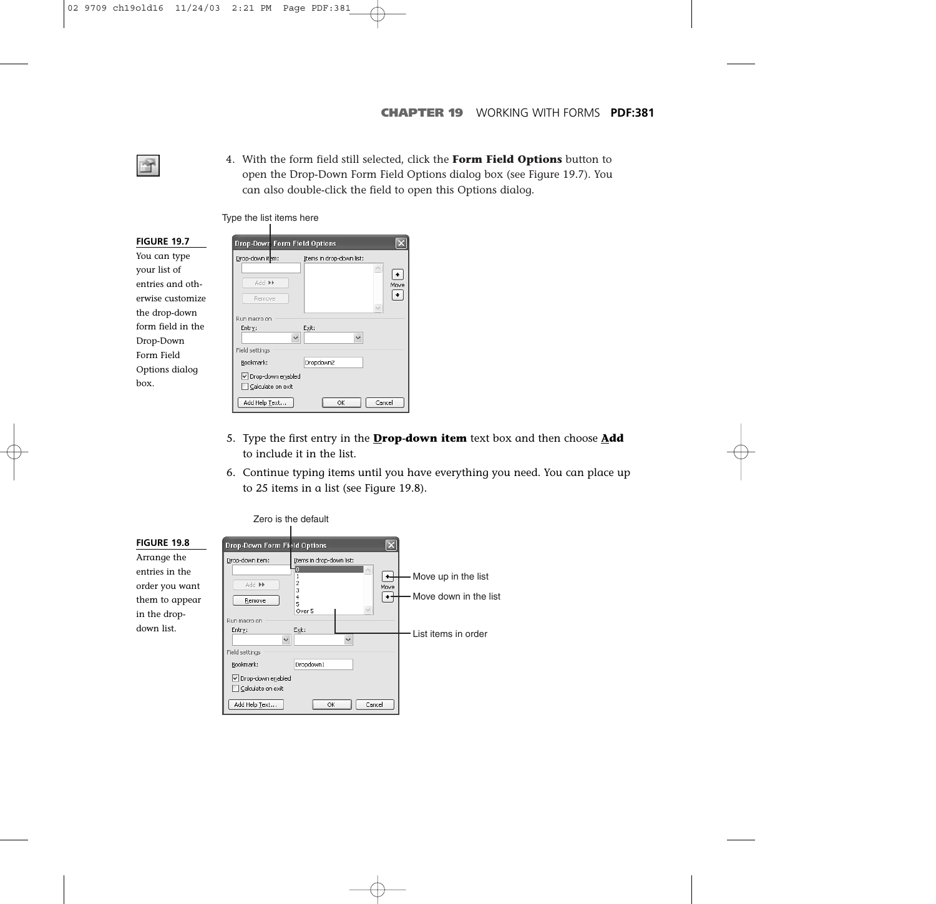4. With the form field still selected, click the **Form Field Options** button to open the Drop-Down Form Field Options dialog box (see Figure 19.7). You can also double-click the field to open this Options dialog.

Type the list items here

| <b>FIGURE 19.7</b> | <b>Drop-Down Form Field Options</b>         |
|--------------------|---------------------------------------------|
| You can type       | Drop-down item:<br>Items in drop-down list: |
| your list of       |                                             |
| entries and oth-   | Add >><br>Move                              |
| erwise customize   | Remove                                      |
| the drop-down      | Run macro on                                |
| form field in the  | Exit:<br>Entry:                             |
| Drop-Down          | $\checkmark$                                |
| Form Field         | Field settings                              |
| Options dialog     | Bookmark:<br>Dropdown2                      |
| hox.               | Drop-down enabled<br>Calculate on exit      |
|                    | Add Help Text<br>Cancel<br>OK               |

Ÿ

- 5. Type the first entry in the **Drop-down item** text box and then choose **Add** to include it in the list.
- 6. Continue typing items until you have everything you need. You can place up to 25 items in a list (see Figure 19.8).

|                                                                                   |                                                                                                 | Zero is the default                                                 |                                              |
|-----------------------------------------------------------------------------------|-------------------------------------------------------------------------------------------------|---------------------------------------------------------------------|----------------------------------------------|
| <b>FIGURE 19.8</b>                                                                | <b>Drop-Down Form Field Options</b>                                                             | $ \mathsf{x} $                                                      |                                              |
| Arrange the<br>entries in the<br>order you want<br>them to appear<br>in the drop- | Drop-down item:<br>44 bbA<br>Remove<br>Run macro on                                             | Items in drop-down list:<br>+<br>2<br>Move<br>3<br>4<br>5<br>Over 5 | Move up in the list<br>Move down in the list |
| down list.                                                                        | Entry:<br>$\checkmark$<br>Field settings<br>Bookmark:<br>Drop-down enabled<br>Calculate on exit | Exit:<br>Dropdown1                                                  | List items in order                          |
|                                                                                   | Add Help Text                                                                                   | OK<br>Cancel                                                        |                                              |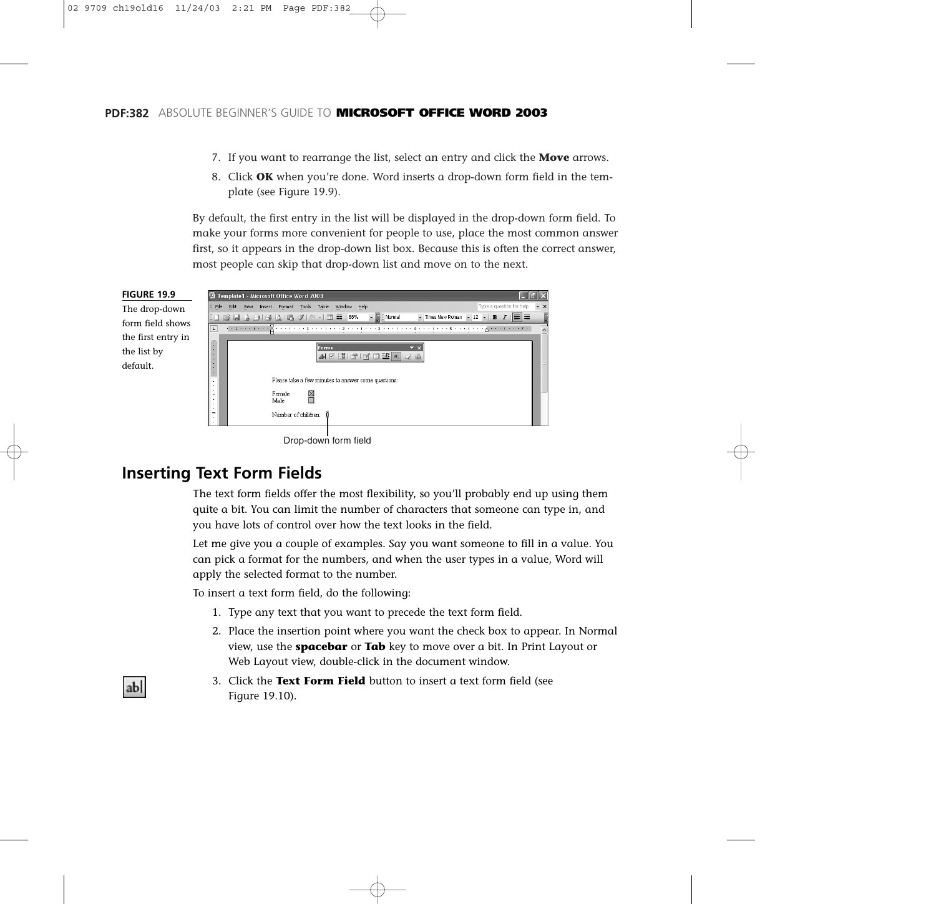- 7. If you want to rearrange the list, select an entry and click the **Move** arrows.
- 8. Click **OK** when you're done. Word inserts a drop-down form field in the template (see Figure 19.9).

By default, the first entry in the list will be displayed in the drop-down form field. To make your forms more convenient for people to use, place the most common answer first, so it appears in the drop-down list box. Because this is often the correct answer, most people can skip that drop-down list and move on to the next.



### **Inserting Text Form Fields**

ab

The text form fields offer the most flexibility, so you'll probably end up using them quite a bit. You can limit the number of characters that someone can type in, and you have lots of control over how the text looks in the field.

Let me give you a couple of examples. Say you want someone to fill in a value. You can pick a format for the numbers, and when the user types in a value, Word will apply the selected format to the number.

To insert a text form field, do the following:

- 1. Type any text that you want to precede the text form field.
- 2. Place the insertion point where you want the check box to appear. In Normal view, use the **spacebar** or **Tab** key to move over a bit. In Print Layout or Web Layout view, double-click in the document window.
- 3. Click the **Text Form Field** button to insert a text form field (see Figure 19.10).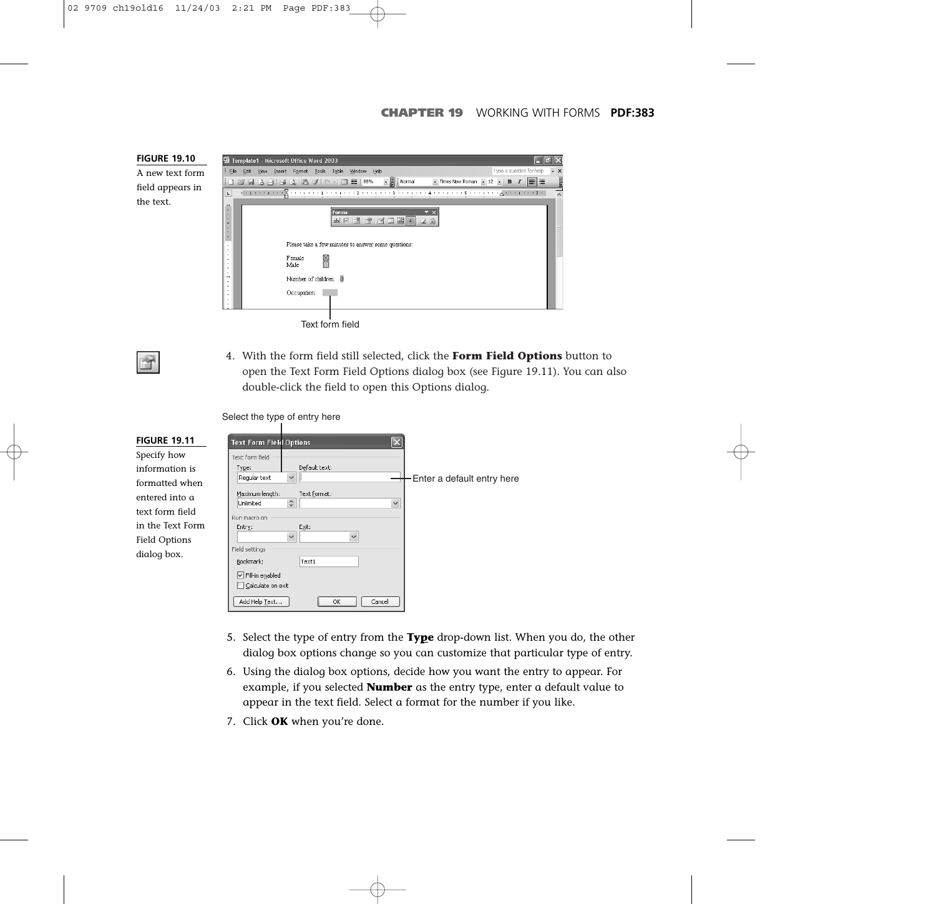

4. With the form field still selected, click the **Form Field Options** button to open the Text Form Field Options dialog box (see Figure 19.11). You can also double-click the field to open this Options dialog.

Select the type of entry here

| <b>FIGURE 19.11</b>                                                                                                                      | <b>Text Form Field Options</b>                                                                                                    |                                                                                                           | $\vert \mathsf{x} \vert$ |                             |
|------------------------------------------------------------------------------------------------------------------------------------------|-----------------------------------------------------------------------------------------------------------------------------------|-----------------------------------------------------------------------------------------------------------|--------------------------|-----------------------------|
| Specify how<br>information is<br>formatted when<br>entered into a<br>text form field<br>in the Text Form<br>Field Options<br>dialog box. | Text form field<br>Type:<br>Regular text<br>Maximum length:<br>Unlimited<br>Run macro on<br>Entry:<br>Field settings<br>Bookmark: | Default text:<br>$\checkmark$<br>Text format:<br>$\div$<br>Exit:<br>$\checkmark$<br>$\checkmark$<br>Text1 | $\checkmark$             | -Enter a default entry here |
|                                                                                                                                          | $\boxed{\checkmark}$ Fill-in enabled<br>Calculate on exit<br>Add Help Text                                                        | OK                                                                                                        | Cancel                   |                             |

- 5. Select the type of entry from the **Type** drop-down list. When you do, the other dialog box options change so you can customize that particular type of entry.
- 6. Using the dialog box options, decide how you want the entry to appear. For example, if you selected **Number** as the entry type, enter a default value to appear in the text field. Select a format for the number if you like.
- 7. Click **OK** when you're done.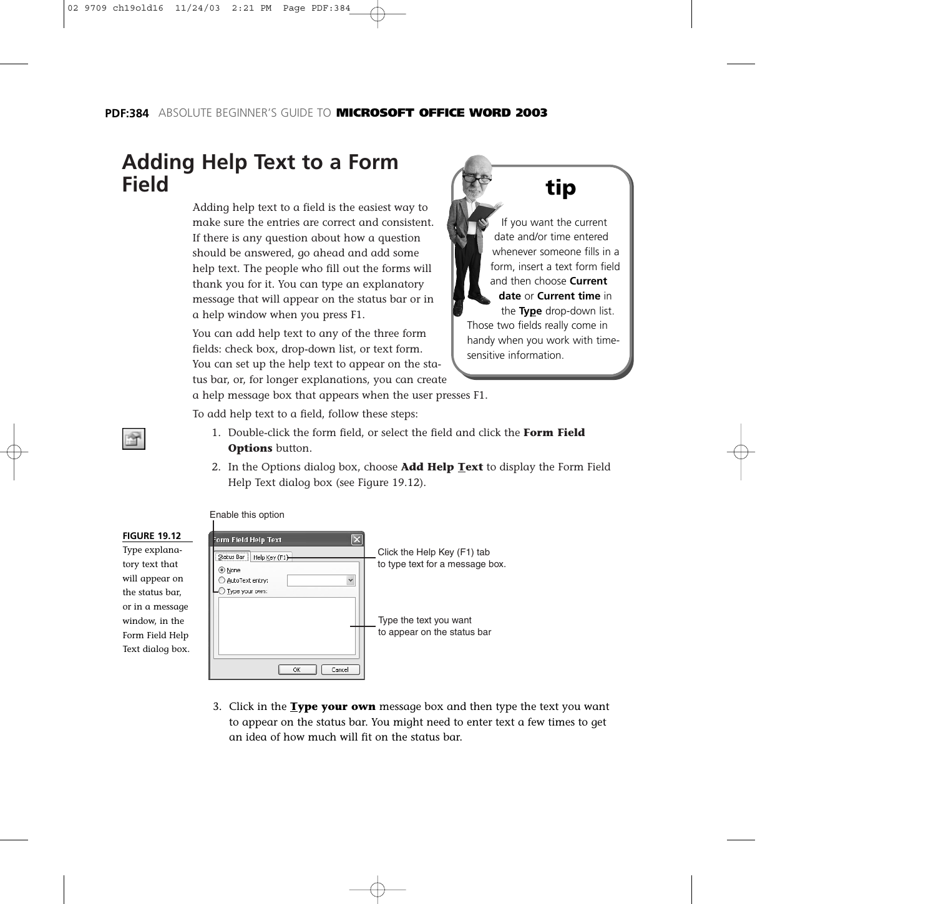### **Adding Help Text to a Form Field**

Adding help text to a field is the easiest way to make sure the entries are correct and consistent. If there is any question about how a question should be answered, go ahead and add some help text. The people who fill out the forms will thank you for it. You can type an explanatory message that will appear on the status bar or in a help window when you press F1.

You can add help text to any of the three form fields: check box, drop-down list, or text form. You can set up the help text to appear on the status bar, or, for longer explanations, you can create



If you want the current date and/or time entered whenever someone fills in a form, insert a text form field and then choose **Current date** or **Current time** in the **Type** drop-down list. Those two fields really come in handy when you work with timesensitive information.

a help message box that appears when the user presses F1.

To add help text to a field, follow these steps:

**Port** 

- 1. Double-click the form field, or select the field and click the **Form Field Options** button.
- 2. In the Options dialog box, choose **Add Help Text** to display the Form Field Help Text dialog box (see Figure 19.12).



3. Click in the **Type your own** message box and then type the text you want to appear on the status bar. You might need to enter text a few times to get an idea of how much will fit on the status bar.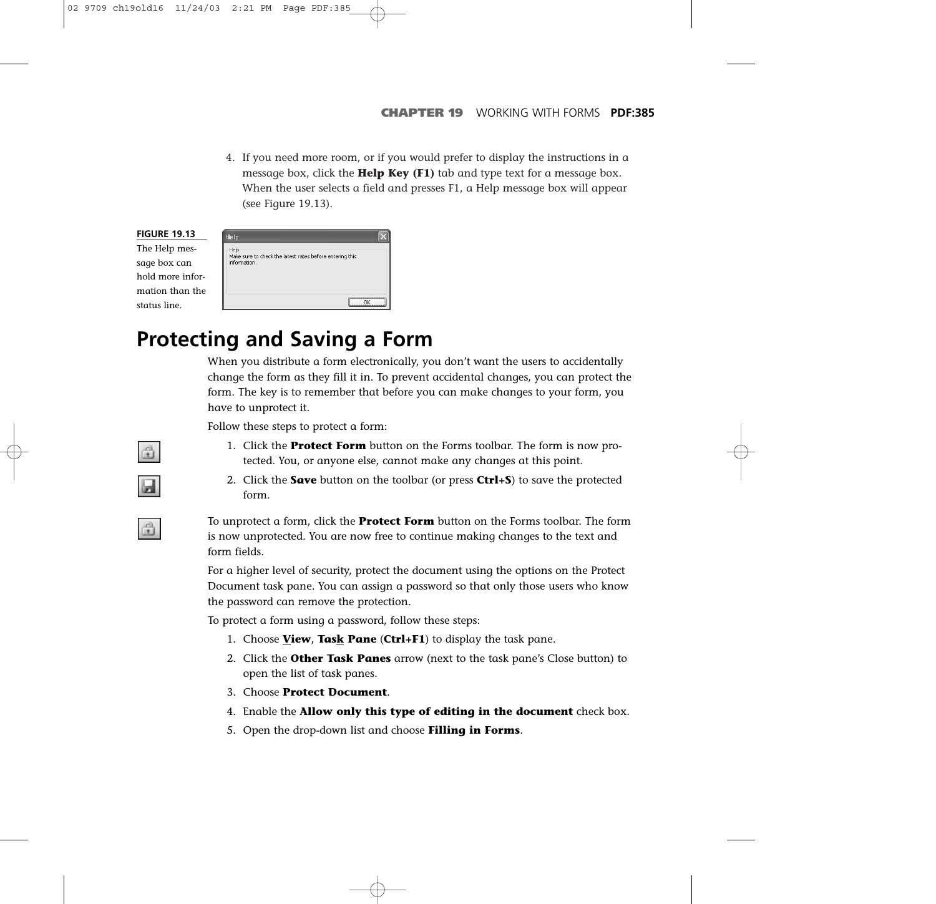4. If you need more room, or if you would prefer to display the instructions in a message box, click the **Help Key (F1)** tab and type text for a message box. When the user selects a field and presses F1, a Help message box will appear (see Figure 19.13).

| <b>FIGURE 19.13</b> | Help                                                                     |
|---------------------|--------------------------------------------------------------------------|
| The Help mes-       | Help                                                                     |
| sage box can        | Make sure to check the latest rates before entering this<br>information. |
| hold more infor-    |                                                                          |
| mation than the     |                                                                          |
| status line.        |                                                                          |

## **Protecting and Saving a Form**

When you distribute a form electronically, you don't want the users to accidentally change the form as they fill it in. To prevent accidental changes, you can protect the form. The key is to remember that before you can make changes to your form, you have to unprotect it.

Follow these steps to protect a form:

- 1. Click the **Protect Form** button on the Forms toolbar. The form is now protected. You, or anyone else, cannot make any changes at this point.
- 2. Click the **Save** button on the toolbar (or press **Ctrl+S**) to save the protected form.

To unprotect a form, click the **Protect Form** button on the Forms toolbar. The form is now unprotected. You are now free to continue making changes to the text and form fields.

For a higher level of security, protect the document using the options on the Protect Document task pane. You can assign a password so that only those users who know the password can remove the protection.

To protect a form using a password, follow these steps:

- 1. Choose **View**, **Task Pane** (**Ctrl+F1**) to display the task pane.
- 2. Click the **Other Task Panes** arrow (next to the task pane's Close button) to open the list of task panes.
- 3. Choose **Protect Document**.
- 4. Enable the **Allow only this type of editing in the document** check box.
- 5. Open the drop-down list and choose **Filling in Forms**.

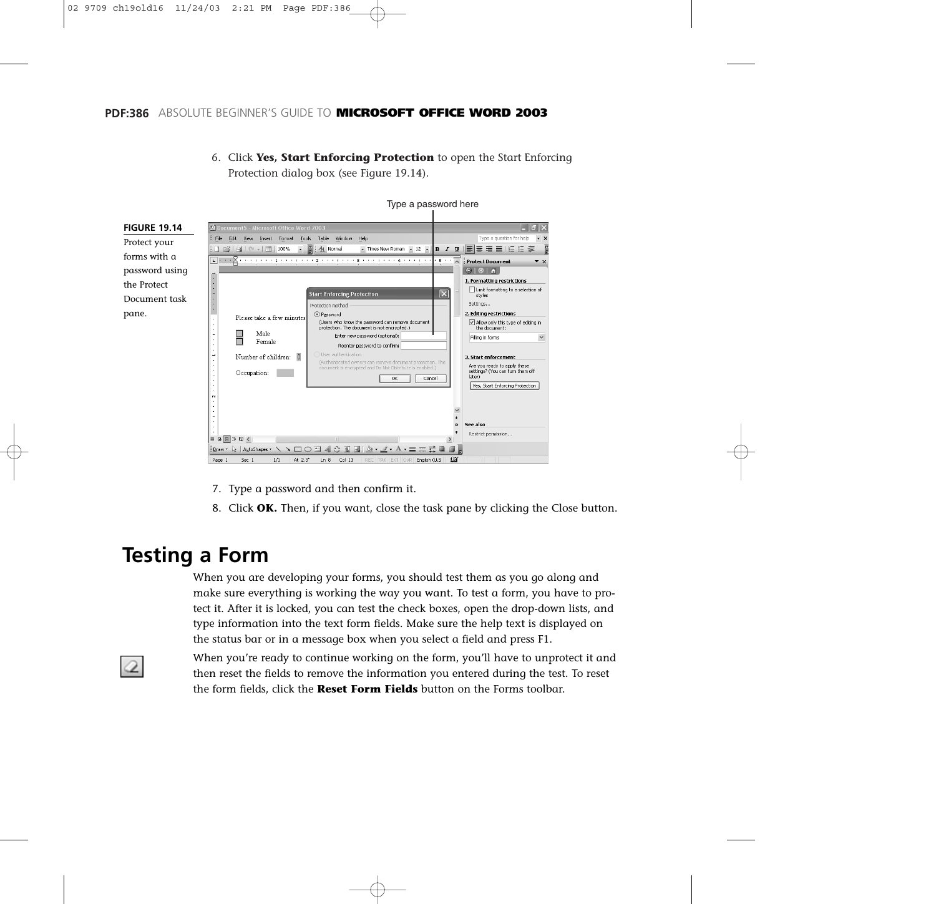Protection dialog box (see Figure 19.14).



Type a password here

6. Click **Yes, Start Enforcing Protection** to open the Start Enforcing

- 7. Type a password and then confirm it.
- 8. Click **OK.** Then, if you want, close the task pane by clicking the Close button.

### **Testing a Form**

When you are developing your forms, you should test them as you go along and make sure everything is working the way you want. To test a form, you have to protect it. After it is locked, you can test the check boxes, open the drop-down lists, and type information into the text form fields. Make sure the help text is displayed on the status bar or in a message box when you select a field and press F1.

When you're ready to continue working on the form, you'll have to unprotect it and then reset the fields to remove the information you entered during the test. To reset the form fields, click the **Reset Form Fields** button on the Forms toolbar.

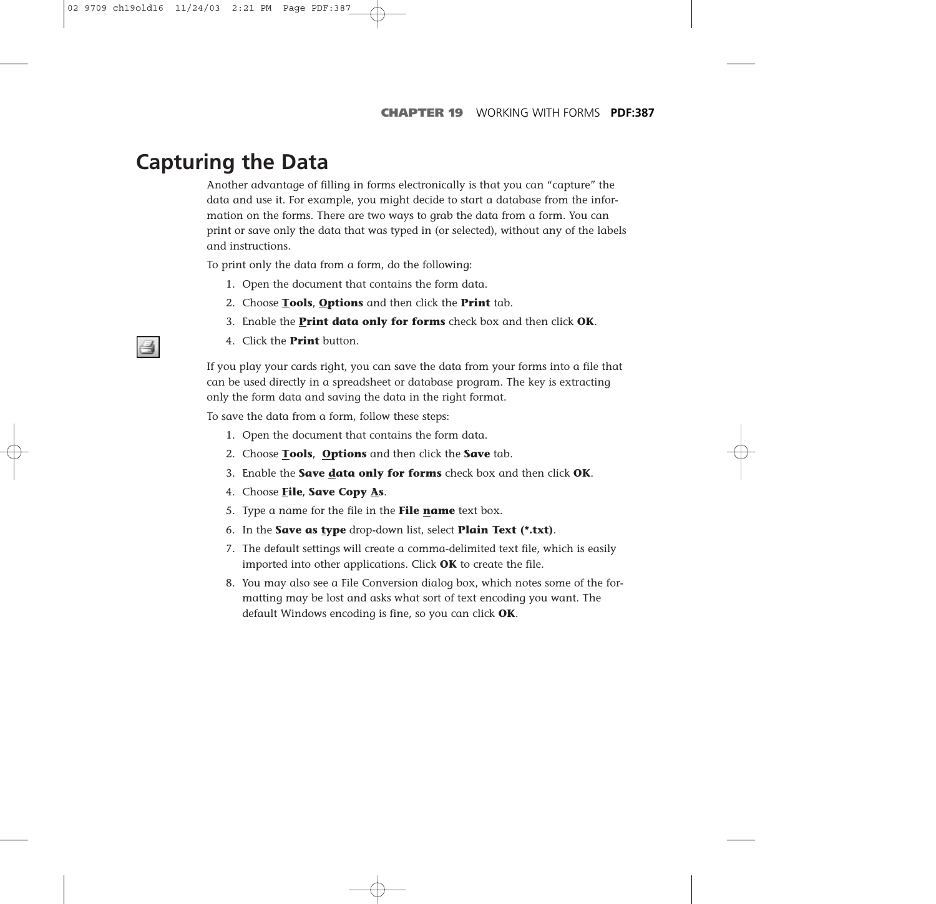### **Capturing the Data**

Another advantage of filling in forms electronically is that you can "capture" the data and use it. For example, you might decide to start a database from the information on the forms. There are two ways to grab the data from a form. You can print or save only the data that was typed in (or selected), without any of the labels and instructions.

To print only the data from a form, do the following:

- 1. Open the document that contains the form data.
- 2. Choose **Tools**, **Options** and then click the **Print** tab.
- 3. Enable the **Print data only for forms** check box and then click **OK**.
- 4. Click the **Print** button.

If you play your cards right, you can save the data from your forms into a file that can be used directly in a spreadsheet or database program. The key is extracting only the form data and saving the data in the right format.

To save the data from a form, follow these steps:

- 1. Open the document that contains the form data.
- 2. Choose **Tools**, **Options** and then click the **Save** tab.
- 3. Enable the **Save data only for forms** check box and then click **OK**.
- 4. Choose **File**, **Save Copy As**.
- 5. Type a name for the file in the **File name** text box.
- 6. In the **Save as type** drop-down list, select **Plain Text (\*.txt)**.
- 7. The default settings will create a comma-delimited text file, which is easily imported into other applications. Click **OK** to create the file.
- 8. You may also see a File Conversion dialog box, which notes some of the formatting may be lost and asks what sort of text encoding you want. The default Windows encoding is fine, so you can click **OK**.